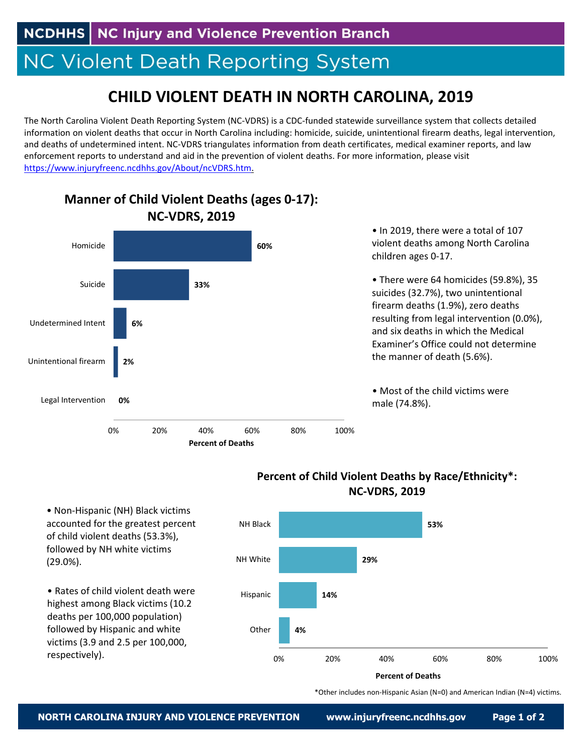**NCDHHS** | NC Injury and Violence Prevention Branch

## **NC Violent Death Reporting System**

## **CHILD VIOLENT DEATH IN NORTH CAROLINA, 2019**

The North Carolina Violent Death Reporting System (NC‐VDRS) is a CDC‐funded statewide surveillance system that collects detailed information on violent deaths that occur in North Carolina including: homicide, suicide, unintentional firearm deaths, legal intervention, and deaths of undetermined intent. NC‐VDRS triangulates information from death certificates, medical examiner reports, and law enforcement reports to understand and aid in the prevention of violent deaths. For more information, please visit https://www.injuryfreenc.ncdhhs.gov/About/ncVDRS.htm.



## **Manner of Child Violent Deaths (ages 0‐17):**

**53% 29% 14% 4%** 0% 20% 40% 60% 80% 100% NH Black NH White Hispanic **Other Percent of Deaths**

**Percent of Child Violent Deaths by Race/Ethnicity\*: NC‐VDRS, 2019**

• Non‐Hispanic (NH) Black victims accounted for the greatest percent of child violent deaths (53.3%), followed by NH white victims (29.0%).

• Rates of child violent death were highest among Black victims (10.2 deaths per 100,000 population) followed by Hispanic and white victims (3.9 and 2.5 per 100,000, respectively).

\*Other includes non‐Hispanic Asian (N=0) and American Indian (N=4) victims.